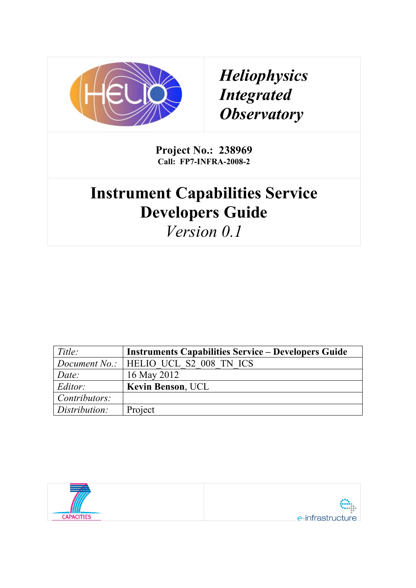

*Heliophysics Integrated Observatory*

**Project No.: 238969 Call: FP7-INFRA-2008-2**

## **Instrument Capabilities Service Developers Guide**

*Version 0.1*

| Title:        | <b>Instruments Capabilities Service – Developers Guide</b> |
|---------------|------------------------------------------------------------|
|               | <i>Document No.:</i>   HELIO UCL S2 008 TN ICS             |
| Date:         | 16 May 2012                                                |
| Editor:       | <b>Kevin Benson, UCL</b>                                   |
| Contributors: |                                                            |
| Distribution: | Project                                                    |

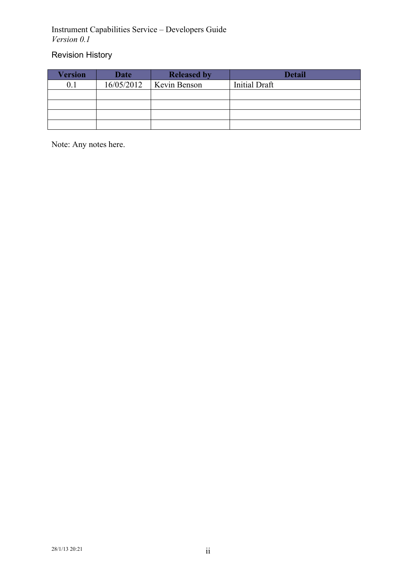## Revision History

| Version | <b>Date</b> | <b>Released by</b>  | <b>Detail</b>        |
|---------|-------------|---------------------|----------------------|
| 0. I    | 16/05/2012  | <b>Kevin Benson</b> | <b>Initial Draft</b> |
|         |             |                     |                      |
|         |             |                     |                      |
|         |             |                     |                      |
|         |             |                     |                      |

Note: Any notes here.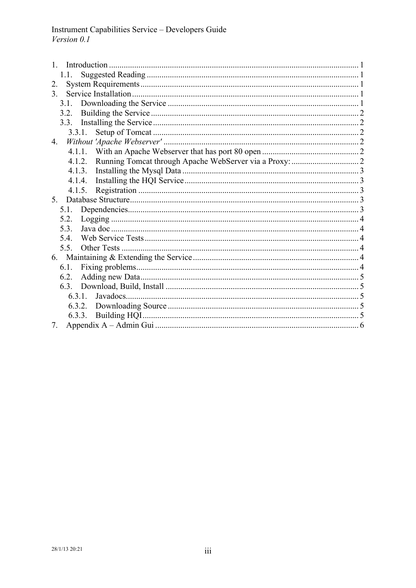| 1.1.             |  |
|------------------|--|
| 2.               |  |
| 3 <sub>1</sub>   |  |
| 3.1              |  |
| 3.2.             |  |
|                  |  |
|                  |  |
| $\overline{4}$ . |  |
|                  |  |
| 4.1.2.           |  |
| 4.1.3.           |  |
|                  |  |
| 4.1.5.           |  |
| 5 <sup>7</sup>   |  |
| 5.1.             |  |
| 5.2.             |  |
| 5.3              |  |
| 5.4.             |  |
| 5.5.             |  |
|                  |  |
| 6.1.             |  |
| 6.2.             |  |
|                  |  |
|                  |  |
|                  |  |
| 6.3.3.           |  |
| 7.               |  |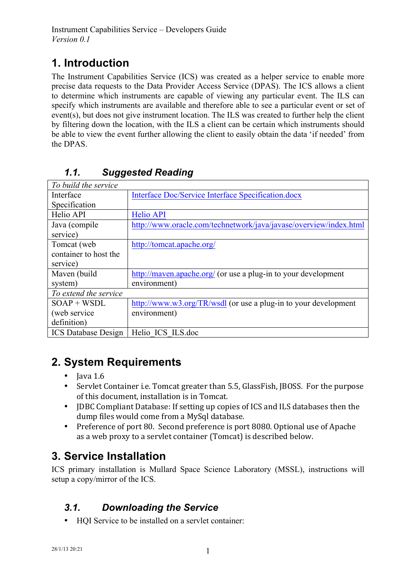## **1. Introduction**

The Instrument Capabilities Service (ICS) was created as a helper service to enable more precise data requests to the Data Provider Access Service (DPAS). The ICS allows a client to determine which instruments are capable of viewing any particular event. The ILS can specify which instruments are available and therefore able to see a particular event or set of event(s), but does not give instrument location. The ILS was created to further help the client by filtering down the location, with the ILS a client can be certain which instruments should be able to view the event further allowing the client to easily obtain the data 'if needed' from the DPAS.

| To build the service       |                                                                   |
|----------------------------|-------------------------------------------------------------------|
| Interface                  | Interface Doc/Service Interface Specification.docx                |
| Specification              |                                                                   |
| Helio API                  | <b>Helio API</b>                                                  |
| Java (compile              | http://www.oracle.com/technetwork/java/javase/overview/index.html |
| service)                   |                                                                   |
| Tomcat (web                | http://tomcat.apache.org/                                         |
| container to host the      |                                                                   |
| service)                   |                                                                   |
| Maven (build               | http://maven.apache.org/ (or use a plug-in to your development    |
| system)                    | environment)                                                      |
| To extend the service      |                                                                   |
| $SOAP + WSDL$              | http://www.w3.org/TR/wsdl (or use a plug-in to your development   |
| (web service)              | environment)                                                      |
| definition)                |                                                                   |
| <b>ICS</b> Database Design | Helio ICS ILS.doc                                                 |

## *1.1. Suggested Reading*

## **2. System Requirements**

- Java 1.6<br>• Servlet 0
- Servlet Container i.e. Tomcat greater than 5.5, GlassFish, IBOSS. For the purpose of this document, installation is in Tomcat.
- JDBC Compliant Database: If setting up copies of ICS and ILS databases then the dump files would come from a MySql database.
- Preference of port 80. Second preference is port 8080. Optional use of Apache as a web proxy to a servlet container (Tomcat) is described below.

## **3. Service Installation**

ICS primary installation is Mullard Space Science Laboratory (MSSL), instructions will setup a copy/mirror of the ICS.

## *3.1. Downloading the Service*

• HQI Service to be installed on a servlet container: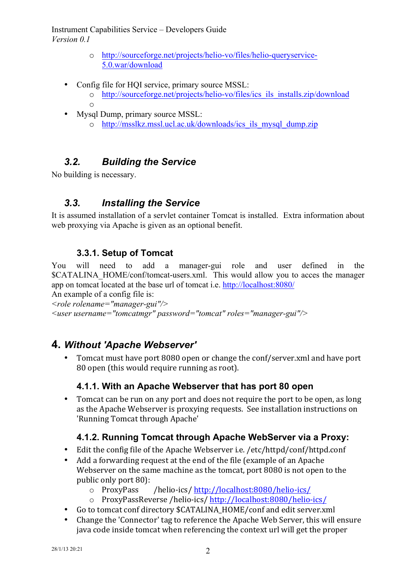- o http://sourceforge.net/projects/helio-vo/files/helio-queryservice-5.0.war/download
- Config file for HQI service, primary source MSSL:
	- o http://sourceforge.net/projects/helio-vo/files/ics\_ils\_installs.zip/download o
- Mysql Dump, primary source MSSL:
	- o http://msslkz.mssl.ucl.ac.uk/downloads/ics\_ils\_mysql\_dump.zip

## *3.2. Building the Service*

No building is necessary.

## *3.3. Installing the Service*

It is assumed installation of a servlet container Tomcat is installed. Extra information about web proxying via Apache is given as an optional benefit.

#### **3.3.1. Setup of Tomcat**

You will need to add a manager-gui role and user defined in the \$CATALINA\_HOME/conf/tomcat-users.xml. This would allow you to acces the manager app on tomcat located at the base url of tomcat i.e. http://localhost:8080/

An example of a config file is: *<role rolename="manager-gui"/>*

```
<user username="tomcatmgr" password="tomcat" roles="manager-gui"/>
```
## **4.** *Without 'Apache Webserver'*

• Tomcat must have port 8080 open or change the conf/server.xml and have port 80 open (this would require running as root).

#### **4.1.1. With an Apache Webserver that has port 80 open**

• Tomcat can be run on any port and does not require the port to be open, as long as the Apache Webserver is proxying requests. See installation instructions on 'Running Tomcat through Apache'

#### **4.1.2. Running Tomcat through Apache WebServer via a Proxy:**

- Edit the config file of the Apache Webserver i.e.  $/etc/httd/conf/httd.comf$
- Add a forwarding request at the end of the file (example of an Apache Webserver on the same machine as the tomcat, port 8080 is not open to the public only port 80):
	- $\circ$  ProxyPass /helio-ics/http://localhost:8080/helio-ics/
	- o ProxyPassReverse /helio-ics/ http://localhost:8080/helio-ics/
- Go to tomcat conf directory \$CATALINA HOME/conf and edit server.xml
- Change the 'Connector' tag to reference the Apache Web Server, this will ensure java code inside tomcat when referencing the context url will get the proper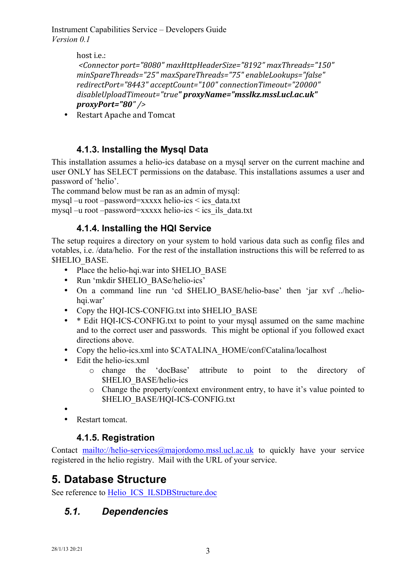> host *i.e.*: *<Connector port="8080" maxHttpHeaderSize="8192" maxThreads="150"*  minSpareThreads="25" maxSpareThreads="75" enableLookups="false" *redirectPort="8443" acceptCount="100" connectionTimeout="20000"*  disableUploadTimeout="true" proxyName="msslkz.mssl.ucl.ac.uk" *proxyPort="80" />*

• Restart Apache and Tomcat

#### **4.1.3. Installing the Mysql Data**

This installation assumes a helio-ics database on a mysql server on the current machine and user ONLY has SELECT permissions on the database. This installations assumes a user and password of 'helio'.

The command below must be ran as an admin of mysql:

mysql –u root –password=xxxxx helio-ics < ics\_data.txt

mysql –u root –password=xxxxx helio-ics < ics\_ils\_data.txt

#### **4.1.4. Installing the HQI Service**

The setup requires a directory on your system to hold various data such as config files and votables, i.e. /data/helio. For the rest of the installation instructions this will be referred to as \$HELIO\_BASE.

- Place the helio-hqi.war into \$HELIO\_BASE
- Run 'mkdir \$HELIO\_BASe/helio-ics'
- On a command line run 'cd \$HELIO\_BASE/helio-base' then 'jar xvf ../heliohqi.war'
- Copy the HQI-ICS-CONFIG.txt into \$HELIO\_BASE
- \* Edit HOI-ICS-CONFIG.txt to point to your mysql assumed on the same machine and to the correct user and passwords. This might be optional if you followed exact directions above.
- Copy the helio-ics.xml into \$CATALINA\_HOME/conf/Catalina/localhost
- Edit the helio-ics.xml
	- o change the 'docBase' attribute to point to the directory of \$HELIO\_BASE/helio-ics
	- o Change the property/context environment entry, to have it's value pointed to \$HELIO\_BASE/HQI-ICS-CONFIG.txt
- •
- Restart tomcat.

#### **4.1.5. Registration**

Contact mailto://helio-services@majordomo.mssl.ucl.ac.uk to quickly have your service registered in the helio registry. Mail with the URL of your service.

## **5. Database Structure**

See reference to Helio ICS ILSDBStructure.doc

## *5.1. Dependencies*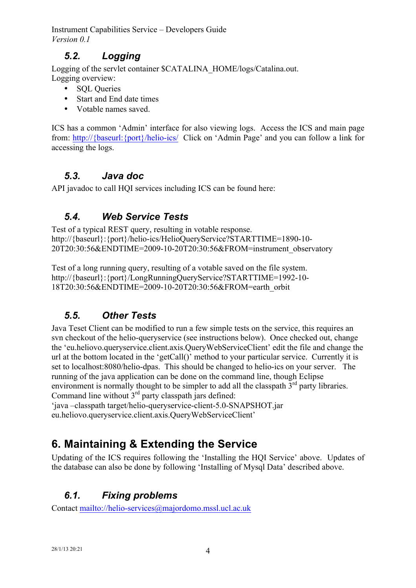## *5.2. Logging*

Logging of the servlet container \$CATALINA\_HOME/logs/Catalina.out. Logging overview:

- SOL Oueries
- Start and End date times
- Votable names saved.

ICS has a common 'Admin' interface for also viewing logs. Access the ICS and main page from: http://{baseurl:{port}/helio-ics/ Click on 'Admin Page' and you can follow a link for accessing the logs.

## *5.3. Java doc*

API javadoc to call HQI services including ICS can be found here:

## *5.4. Web Service Tests*

Test of a typical REST query, resulting in votable response. http://{baseurl}:{port}/helio-ics/HelioQueryService?STARTTIME=1890-10- 20T20:30:56&ENDTIME=2009-10-20T20:30:56&FROM=instrument\_observatory

Test of a long running query, resulting of a votable saved on the file system. http://{baseurl}:{port}/LongRunningQueryService?STARTTIME=1992-10- 18T20:30:56&ENDTIME=2009-10-20T20:30:56&FROM=earth\_orbit

## *5.5. Other Tests*

Java Teset Client can be modified to run a few simple tests on the service, this requires an svn checkout of the helio-queryservice (see instructions below). Once checked out, change the 'eu.heliovo.queryservice.client.axis.QueryWebServiceClient' edit the file and change the url at the bottom located in the 'getCall()' method to your particular service. Currently it is set to localhost:8080/helio-dpas. This should be changed to helio-ics on your server. The running of the java application can be done on the command line, though Eclipse environment is normally thought to be simpler to add all the classpath  $3<sup>rd</sup>$  party libraries. Command line without  $3<sup>rd</sup>$  party classpath jars defined:

'java –classpath target/helio-queryservice-client-5.0-SNAPSHOT.jar eu.heliovo.queryservice.client.axis.QueryWebServiceClient'

## **6. Maintaining & Extending the Service**

Updating of the ICS requires following the 'Installing the HQI Service' above. Updates of the database can also be done by following 'Installing of Mysql Data' described above.

## *6.1. Fixing problems*

Contact mailto://helio-services@majordomo.mssl.ucl.ac.uk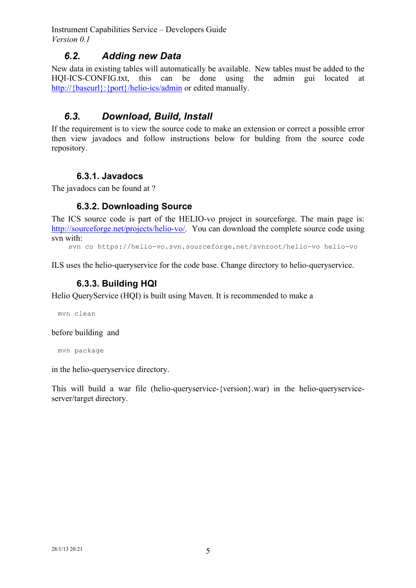#### *6.2. Adding new Data*

New data in existing tables will automatically be available. New tables must be added to the HQI-ICS-CONFIG.txt, this can be done using the admin gui located at http://{baseurl}: {port}/helio-ics/admin or edited manually.

## *6.3. Download, Build, Install*

If the requirement is to view the source code to make an extension or correct a possible error then view javadocs and follow instructions below for bulding from the source code repository.

#### **6.3.1. Javadocs**

The javadocs can be found at ?

#### **6.3.2. Downloading Source**

The ICS source code is part of the HELIO-vo project in sourceforge. The main page is: http://sourceforge.net/projects/helio-vo/. You can download the complete source code using svn with:

svn co https://helio-vo.svn.sourceforge.net/svnroot/helio-vo helio-vo

ILS uses the helio-queryservice for the code base. Change directory to helio-queryservice.

#### **6.3.3. Building HQI**

Helio QueryService (HQI) is built using Maven. It is recommended to make a

mvn clean

before building and

mvn package

in the helio-queryservice directory.

This will build a war file (helio-queryservice-{version}.war) in the helio-queryserviceserver/target directory.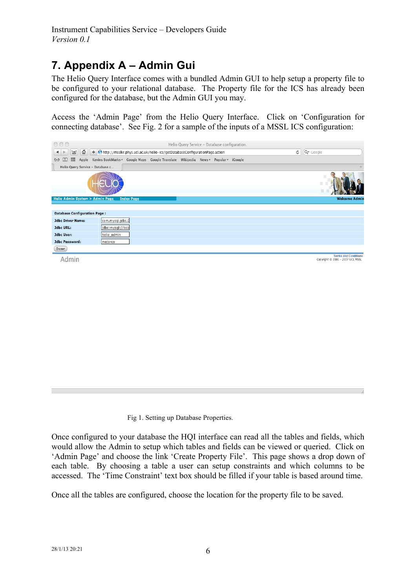## **7. Appendix A – Admin Gui**

The Helio Query Interface comes with a bundled Admin GUI to help setup a property file to be configured to your relational database. The Property file for the ICS has already been configured for the database, but the Admin GUI you may.

Access the 'Admin Page' from the Helio Query Interface. Click on 'Configuration for connecting database'. See Fig. 2 for a sample of the inputs of a MSSL ICS configuration:



Admin

Terms and Condition:<br>Copyright © 2001 - 2007 UCL MSSL

Fig 1. Setting up Database Properties.

Once configured to your database the HQI interface can read all the tables and fields, which would allow the Admin to setup which tables and fields can be viewed or queried. Click on 'Admin Page' and choose the link 'Create Property File'. This page shows a drop down of each table. By choosing a table a user can setup constraints and which columns to be accessed. The 'Time Constraint' text box should be filled if your table is based around time.

Once all the tables are configured, choose the location for the property file to be saved.